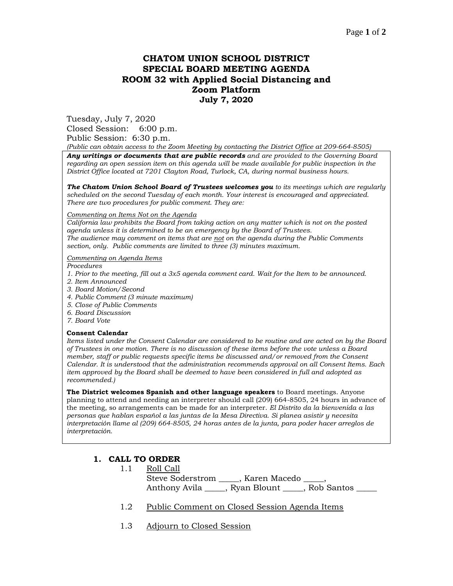# **CHATOM UNION SCHOOL DISTRICT SPECIAL BOARD MEETING AGENDA ROOM 32 with Applied Social Distancing and Zoom Platform July 7, 2020**

Tuesday, July 7, 2020 Closed Session: 6:00 p.m. Public Session: 6:30 p.m.

*(Public can obtain access to the Zoom Meeting by contacting the District Office at 209-664-8505)*

*Any writings or documents that are public records and are provided to the Governing Board regarding an open session item on this agenda will be made available for public inspection in the District Office located at 7201 Clayton Road, Turlock, CA, during normal business hours.*

*The Chatom Union School Board of Trustees welcomes you to its meetings which are regularly scheduled on the second Tuesday of each month. Your interest is encouraged and appreciated. There are two procedures for public comment. They are:*

#### *Commenting on Items Not on the Agenda*

*California law prohibits the Board from taking action on any matter which is not on the posted agenda unless it is determined to be an emergency by the Board of Trustees. The audience may comment on items that are not on the agenda during the Public Comments section, only. Public comments are limited to three (3) minutes maximum.*

#### *Commenting on Agenda Items*

*Procedures* 

- *1. Prior to the meeting, fill out a 3x5 agenda comment card. Wait for the Item to be announced.*
- *2. Item Announced*
- *3. Board Motion/Second*
- *4. Public Comment (3 minute maximum)*
- *5. Close of Public Comments*
- *6. Board Discussion*
- *7. Board Vote*

#### **Consent Calendar**

*Items listed under the Consent Calendar are considered to be routine and are acted on by the Board of Trustees in one motion. There is no discussion of these items before the vote unless a Board member, staff or public requests specific items be discussed and/or removed from the Consent Calendar. It is understood that the administration recommends approval on all Consent Items. Each item approved by the Board shall be deemed to have been considered in full and adopted as recommended.)*

**The District welcomes Spanish and other language speakers** to Board meetings. Anyone planning to attend and needing an interpreter should call (209) 664-8505, 24 hours in advance of the meeting, so arrangements can be made for an interpreter. *El Distrito da la bienvenida a las personas que hablan español a las juntas de la Mesa Directiva. Si planea asistir y necesita interpretación llame al (209) 664-8505, 24 horas antes de la junta, para poder hacer arreglos de interpretación.*

### **1. CALL TO ORDER**

- 1.1 Roll Call Steve Soderstrom \_\_\_\_\_, Karen Macedo \_\_\_\_, Anthony Avila \_\_\_\_\_, Ryan Blount \_\_\_\_\_, Rob Santos \_\_\_\_\_
- 1.2 Public Comment on Closed Session Agenda Items
- 1.3 Adjourn to Closed Session